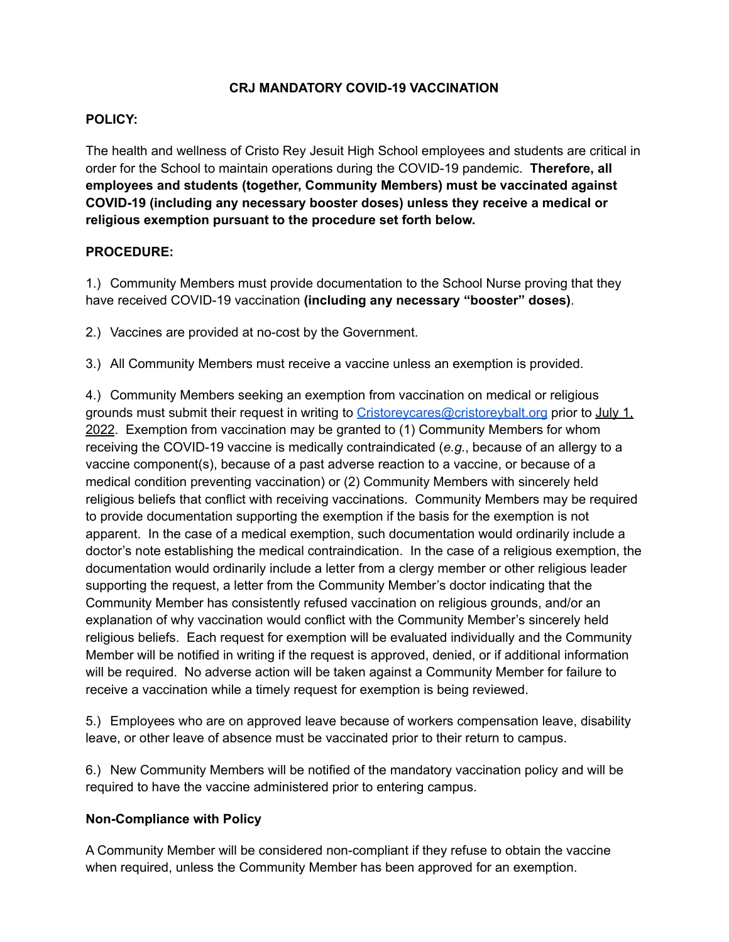# **CRJ MANDATORY COVID-19 VACCINATION**

### **POLICY:**

The health and wellness of Cristo Rey Jesuit High School employees and students are critical in order for the School to maintain operations during the COVID-19 pandemic. **Therefore, all employees and students (together, Community Members) must be vaccinated against COVID-19 (including any necessary booster doses) unless they receive a medical or religious exemption pursuant to the procedure set forth below.**

#### **PROCEDURE:**

1.) Community Members must provide documentation to the School Nurse proving that they have received COVID-19 vaccination **(including any necessary "booster" doses)**.

2.) Vaccines are provided at no-cost by the Government.

3.) All Community Members must receive a vaccine unless an exemption is provided.

4.) Community Members seeking an exemption from vaccination on medical or religious grounds must submit their request in writing to [Cristoreycares@cristoreybalt.org](mailto:Cristoreycares@cristoreybalt.org) prior to July 1, 2022. Exemption from vaccination may be granted to (1) Community Members for whom receiving the COVID-19 vaccine is medically contraindicated (*e.g.*, because of an allergy to a vaccine component(s), because of a past adverse reaction to a vaccine, or because of a medical condition preventing vaccination) or (2) Community Members with sincerely held religious beliefs that conflict with receiving vaccinations. Community Members may be required to provide documentation supporting the exemption if the basis for the exemption is not apparent. In the case of a medical exemption, such documentation would ordinarily include a doctor's note establishing the medical contraindication. In the case of a religious exemption, the documentation would ordinarily include a letter from a clergy member or other religious leader supporting the request, a letter from the Community Member's doctor indicating that the Community Member has consistently refused vaccination on religious grounds, and/or an explanation of why vaccination would conflict with the Community Member's sincerely held religious beliefs. Each request for exemption will be evaluated individually and the Community Member will be notified in writing if the request is approved, denied, or if additional information will be required. No adverse action will be taken against a Community Member for failure to receive a vaccination while a timely request for exemption is being reviewed.

5.) Employees who are on approved leave because of workers compensation leave, disability leave, or other leave of absence must be vaccinated prior to their return to campus.

6.) New Community Members will be notified of the mandatory vaccination policy and will be required to have the vaccine administered prior to entering campus.

## **Non-Compliance with Policy**

A Community Member will be considered non-compliant if they refuse to obtain the vaccine when required, unless the Community Member has been approved for an exemption.